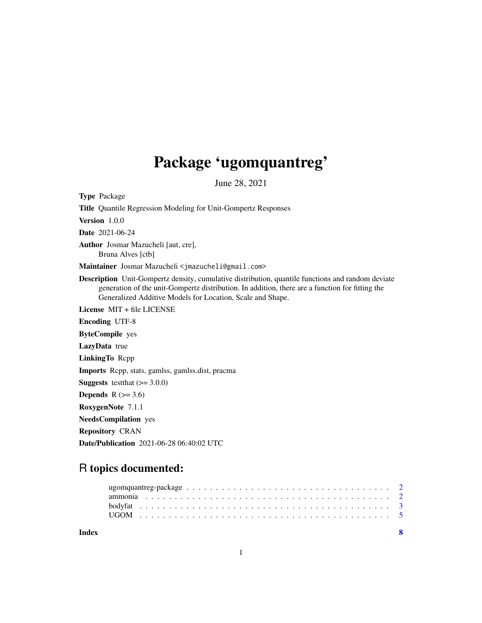## Package 'ugomquantreg'

June 28, 2021

<span id="page-0-0"></span>Type Package Title Quantile Regression Modeling for Unit-Gompertz Responses Version 1.0.0 Date 2021-06-24 Author Josmar Mazucheli [aut, cre], Bruna Alves [ctb] Maintainer Josmar Mazucheli <jmazucheli@gmail.com> Description Unit-Gompertz density, cumulative distribution, quantile functions and random deviate generation of the unit-Gompertz distribution. In addition, there are a function for fitting the Generalized Additive Models for Location, Scale and Shape. License MIT + file LICENSE Encoding UTF-8 ByteCompile yes LazyData true LinkingTo Rcpp Imports Rcpp, stats, gamlss, gamlss.dist, pracma **Suggests** testthat  $(>= 3.0.0)$ Depends  $R$  ( $>= 3.6$ ) RoxygenNote 7.1.1 NeedsCompilation yes Repository CRAN Date/Publication 2021-06-28 06:40:02 UTC

# R topics documented:

1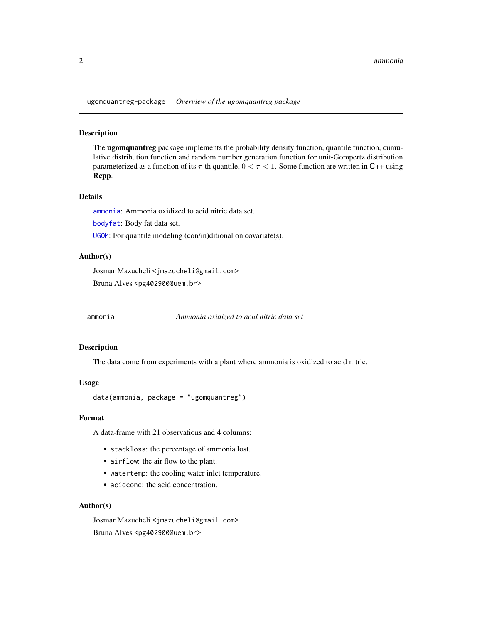<span id="page-1-0"></span>ugomquantreg-package *Overview of the ugomquantreg package*

#### Description

The **ugomquantreg** package implements the probability density function, quantile function, cumulative distribution function and random number generation function for unit-Gompertz distribution parameterized as a function of its  $\tau$ -th quantile,  $0 < \tau < 1$ . Some function are written in C++ using Rcpp.

#### Details

[ammonia](#page-1-1): Ammonia oxidized to acid nitric data set.

[bodyfat](#page-2-1): Body fat data set.

[UGOM](#page-4-1): For quantile modeling (con/in)ditional on covariate(s).

### Author(s)

Josmar Mazucheli <jmazucheli@gmail.com> Bruna Alves <pg402900@uem.br>

<span id="page-1-1"></span>ammonia *Ammonia oxidized to acid nitric data set*

#### Description

The data come from experiments with a plant where ammonia is oxidized to acid nitric.

#### Usage

data(ammonia, package = "ugomquantreg")

#### Format

A data-frame with 21 observations and 4 columns:

- stackloss: the percentage of ammonia lost.
- airflow: the air flow to the plant.
- watertemp: the cooling water inlet temperature.
- acidconc: the acid concentration.

#### Author(s)

Josmar Mazucheli <jmazucheli@gmail.com> Bruna Alves <pg402900@uem.br>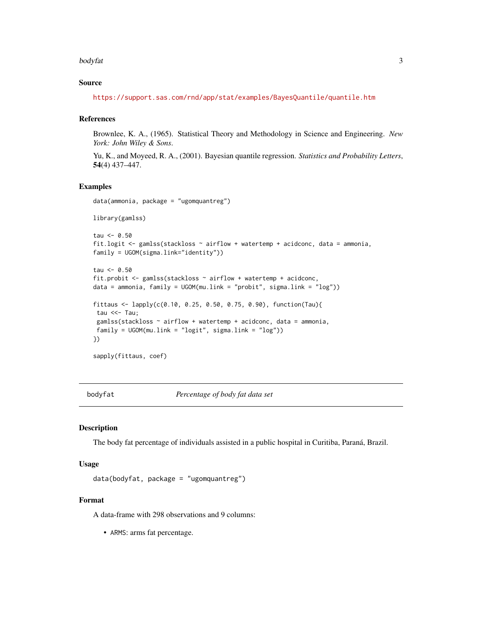#### <span id="page-2-0"></span>bodyfat 3

#### Source

<https://support.sas.com/rnd/app/stat/examples/BayesQuantile/quantile.htm>

#### References

Brownlee, K. A., (1965). Statistical Theory and Methodology in Science and Engineering. *New York: John Wiley & Sons*.

Yu, K., and Moyeed, R. A., (2001). Bayesian quantile regression. *Statistics and Probability Letters*, 54(4) 437–447.

#### Examples

```
data(ammonia, package = "ugomquantreg")
library(gamlss)
tau < -0.50fit.logit <- gamlss(stackloss ~ airflow + watertemp + acidconc, data = ammonia,
family = UGOM(sigma.link="identity"))
```

```
tau < -0.50fit.probit \leq gamlss(stackloss \sim airflow + watertemp + acidconc,
data = ammonia, family = UGOM(mu.link = "probit", sigma.link = "log"))
fittaus <- lapply(c(0.10, 0.25, 0.50, 0.75, 0.90), function(Tau){
tau <<- Tau;
gamlss(stackloss \sim airflow + watertemp + acidconc, data = ammonia,
family = UGOM(mu.link = "logit", sigma.link = "log")})
```
<span id="page-2-1"></span>

sapply(fittaus, coef)

bodyfat *Percentage of body fat data set*

#### Description

The body fat percentage of individuals assisted in a public hospital in Curitiba, Paraná, Brazil.

#### Usage

```
data(bodyfat, package = "ugomquantreg")
```
#### Format

A data-frame with 298 observations and 9 columns:

• ARMS: arms fat percentage.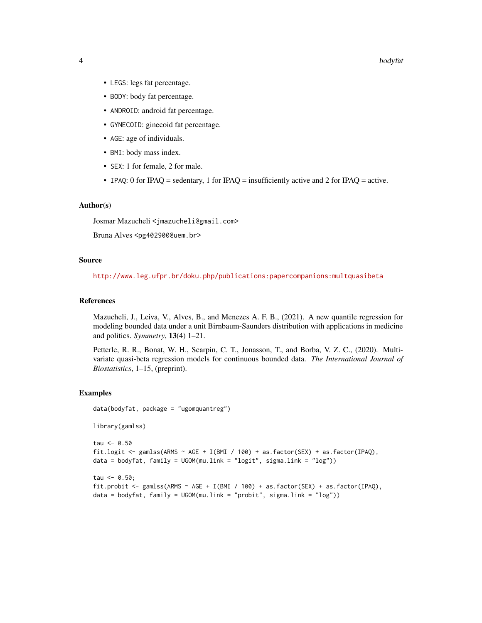- LEGS: legs fat percentage.
- BODY: body fat percentage.
- ANDROID: android fat percentage.
- GYNECOID: ginecoid fat percentage.
- AGE: age of individuals.
- BMI: body mass index.
- SEX: 1 for female, 2 for male.
- IPAQ: 0 for IPAQ = sedentary, 1 for IPAQ = insufficiently active and 2 for IPAQ = active.

#### Author(s)

Josmar Mazucheli <jmazucheli@gmail.com>

Bruna Alves <pg402900@uem.br>

#### Source

<http://www.leg.ufpr.br/doku.php/publications:papercompanions:multquasibeta>

#### References

Mazucheli, J., Leiva, V., Alves, B., and Menezes A. F. B., (2021). A new quantile regression for modeling bounded data under a unit Birnbaum-Saunders distribution with applications in medicine and politics. *Symmetry*, 13(4) 1–21.

Petterle, R. R., Bonat, W. H., Scarpin, C. T., Jonasson, T., and Borba, V. Z. C., (2020). Multivariate quasi-beta regression models for continuous bounded data. *The International Journal of Biostatistics*, 1–15, (preprint).

#### Examples

```
data(bodyfat, package = "ugomquantreg")
```

```
library(gamlss)
```

```
tau < -0.50fit.logit <- gamlss(ARMS ~ AGE + I(BMI / 100) + as.factor(SEX) + as.factor(IPAQ),
data = bodyfat, family = UGOM(mu.link = "logit", sigma.link = "log"))
```

```
tau < -0.50;
fit.probit <- gamlss(ARMS ~ AGE + I(BMI / 100) + as.factor(SEX) + as.factor(IPAQ),
data = bodyfat, family = UGOM(mu.link = "probit", sigma.link = "log"))
```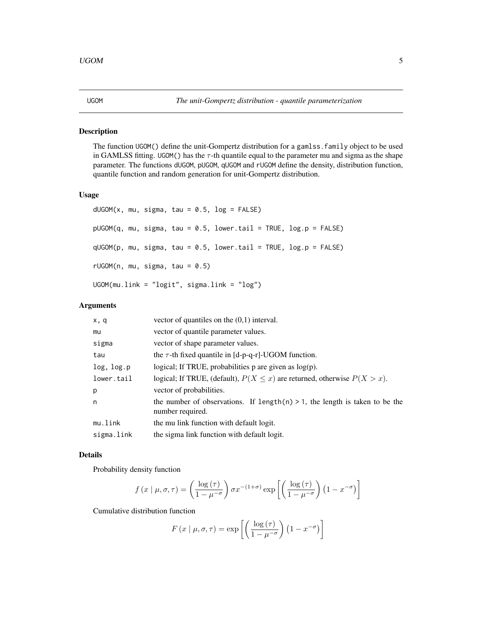#### <span id="page-4-1"></span><span id="page-4-0"></span>Description

The function UGOM() define the unit-Gompertz distribution for a gamlss.family object to be used in GAMLSS fitting. UGOM() has the  $\tau$ -th quantile equal to the parameter mu and sigma as the shape parameter. The functions dUGOM, pUGOM, qUGOM and rUGOM define the density, distribution function, quantile function and random generation for unit-Gompertz distribution.

#### Usage

```
dUGOM(x, mu, sigma, tau = 0.5, log = FALSE)pUGOM(q, mu, sigma, tau = 0.5, lower.tail = TRUE, log.p = FALSE)qUGOM(p, mu, sigma, tau = 0.5, lowertail = TRUE, log.p = FALSE)
rUGOM(n, mu, sigma, tau = 0.5)UGOM(mu.link = "logit", sigma.link = "log")
```
#### Arguments

| x, q       | vector of quantiles on the $(0,1)$ interval.                                                        |
|------------|-----------------------------------------------------------------------------------------------------|
| mu         | vector of quantile parameter values.                                                                |
| sigma      | vector of shape parameter values.                                                                   |
| tau        | the $\tau$ -th fixed quantile in [d-p-q-r]-UGOM function.                                           |
| log, log.p | logical; If TRUE, probabilities $p$ are given as $log(p)$ .                                         |
| lower.tail | logical; If TRUE, (default), $P(X \le x)$ are returned, otherwise $P(X > x)$ .                      |
| p          | vector of probabilities.                                                                            |
| n          | the number of observations. If length $(n) > 1$ , the length is taken to be the<br>number required. |
| mu.link    | the mu link function with default logit.                                                            |
| sigma.link | the sigma link function with default logit.                                                         |

#### Details

Probability density function

$$
f(x \mid \mu, \sigma, \tau) = \left(\frac{\log{(\tau)}}{1 - \mu^{-\sigma}}\right) \sigma x^{-(1+\sigma)} \exp\left[\left(\frac{\log{(\tau)}}{1 - \mu^{-\sigma}}\right) (1 - x^{-\sigma})\right]
$$

Cumulative distribution function

$$
F(x \mid \mu, \sigma, \tau) = \exp\left[ \left( \frac{\log(\tau)}{1 - \mu^{-\sigma}} \right) \left( 1 - x^{-\sigma} \right) \right]
$$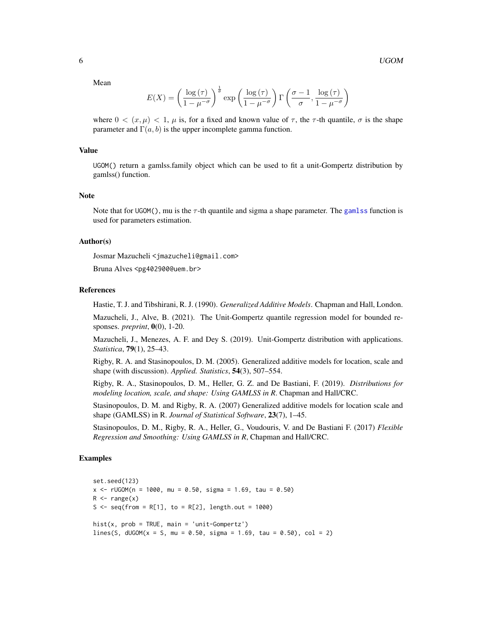<span id="page-5-0"></span>Mean

$$
E(X) = \left(\frac{\log(\tau)}{1 - \mu^{-\sigma}}\right)^{\frac{1}{\sigma}} \exp\left(\frac{\log(\tau)}{1 - \mu^{-\sigma}}\right) \Gamma\left(\frac{\sigma - 1}{\sigma}, \frac{\log(\tau)}{1 - \mu^{-\sigma}}\right)
$$

where  $0 < (x, \mu) < 1$ ,  $\mu$  is, for a fixed and known value of  $\tau$ , the  $\tau$ -th quantile,  $\sigma$  is the shape parameter and  $\Gamma(a, b)$  is the upper incomplete gamma function.

#### Value

UGOM() return a gamlss.family object which can be used to fit a unit-Gompertz distribution by gamlss() function.

#### **Note**

Note that for UGOM(), mu is the  $\tau$ -th quantile and sigma a shape parameter. The [gamlss](#page-0-0) function is used for parameters estimation.

#### Author(s)

Josmar Mazucheli <jmazucheli@gmail.com>

Bruna Alves <pg402900@uem.br>

#### References

Hastie, T. J. and Tibshirani, R. J. (1990). *Generalized Additive Models*. Chapman and Hall, London.

Mazucheli, J., Alve, B. (2021). The Unit-Gompertz quantile regression model for bounded responses. *preprint*, 0(0), 1-20.

Mazucheli, J., Menezes, A. F. and Dey S. (2019). Unit-Gompertz distribution with applications. *Statistica*, 79(1), 25–43.

Rigby, R. A. and Stasinopoulos, D. M. (2005). Generalized additive models for location, scale and shape (with discussion). *Applied. Statistics*, 54(3), 507–554.

Rigby, R. A., Stasinopoulos, D. M., Heller, G. Z. and De Bastiani, F. (2019). *Distributions for modeling location, scale, and shape: Using GAMLSS in R*. Chapman and Hall/CRC.

Stasinopoulos, D. M. and Rigby, R. A. (2007) Generalized additive models for location scale and shape (GAMLSS) in R. *Journal of Statistical Software*, 23(7), 1–45.

Stasinopoulos, D. M., Rigby, R. A., Heller, G., Voudouris, V. and De Bastiani F. (2017) *Flexible Regression and Smoothing: Using GAMLSS in R*, Chapman and Hall/CRC.

#### Examples

```
set.seed(123)
x \le -rUGOM(n = 1000, mu = 0.50, sigma = 1.69, tau = 0.50)
R \leq -r ange(x)S <- seq(from = R[1], to = R[2], length.out = 1000)
hist(x, prob = TRUE, main = 'unit-Gompertz')
lines(S, dUGOM(x = S, mu = 0.50, sigma = 1.69, tau = 0.50), col = 2)
```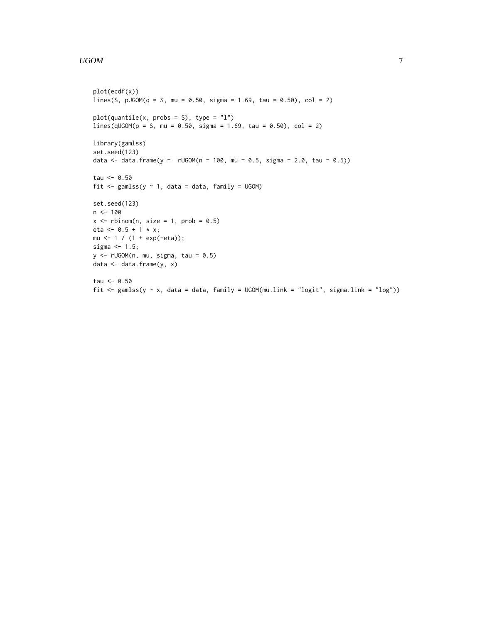#### UGOM 2009 Provide the contract of the contract of the contract of the contract of the contract of the contract of the contract of the contract of the contract of the contract of the contract of the contract of the contract

```
plot(ecdf(x))
lines(S, pUGOM(q = S, mu = 0.50, sigma = 1.69, tau = 0.50), col = 2)plot(quantile(x, probs = S), type = "l")lines(qUGOM(p = S, mu = 0.50, sigma = 1.69, tau = 0.50), col = 2)library(gamlss)
set.seed(123)
data <- data.frame(y = rUGOM(n = 100, mu = 0.5, sigma = 2.0, tau = 0.5))tau <- 0.50
fit \leq gamlss(y \sim 1, data = data, family = UGOM)
set.seed(123)
n <- 100
x \le rbinom(n, size = 1, prob = 0.5)
eta <- 0.5 + 1 * x;
mu <- 1 / (1 + \exp(-eta));
sigma <-1.5;
y \le -rUGOM(n, mu, sigma, tau = 0.5)data <- data.frame(y, x)
tau <- 0.50
fit \le gamlss(y \sim x, data = data, family = UGOM(mu.link = "logit", sigma.link = "log"))
```